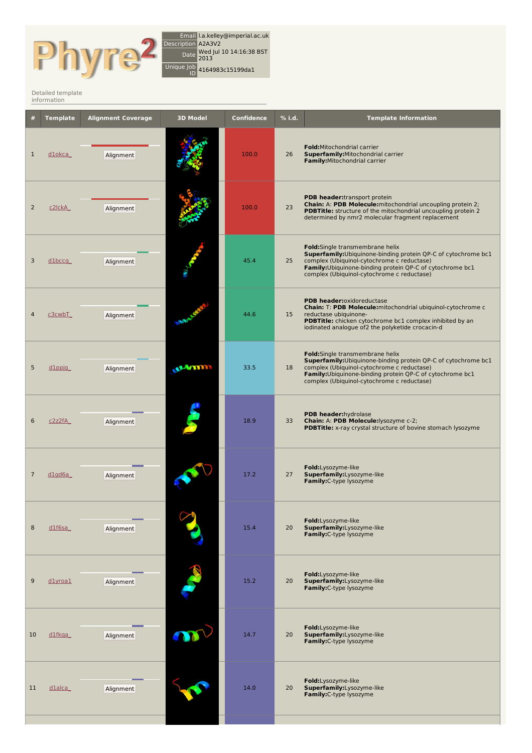

Email l.a.kelley@imperial.ac.uk Description A2A3V2 Date Wed Jul <sup>10</sup> 14:16:38 BST 2013 Unique Job ID 4164983c15199da1

Detailed [template](http://www.sbg.bio.ic.ac.uk/phyre2/index.cgi) information

|                | <b>Template</b>    | <b>Alignment Coverage</b> | <b>3D Model</b> | <b>Confidence</b> | % i.d. | <b>Template Information</b>                                                                                                                                                                                                                                |
|----------------|--------------------|---------------------------|-----------------|-------------------|--------|------------------------------------------------------------------------------------------------------------------------------------------------------------------------------------------------------------------------------------------------------------|
| $\mathbf 1$    | <u>dlokca</u>      | Alignment                 |                 | 100.0             | 26     | <b>Fold:</b> Mitochondrial carrier<br>Superfamily: Mitochondrial carrier<br>Family: Mitochondrial carrier                                                                                                                                                  |
| 2              | c2lckA             | Alignment                 |                 | 100.0             | 23     | <b>PDB header:</b> transport protein<br>Chain: A: PDB Molecule: mitochondrial uncoupling protein 2;<br>PDBTitle: structure of the mitochondrial uncoupling protein 2<br>determined by nmr2 molecular fragment replacement                                  |
| 3              | <u>dlbccg</u>      | Alignment                 |                 | 45.4              | 25     | Fold:Single transmembrane helix<br>Superfamily: Ubiquinone-binding protein QP-C of cytochrome bc1<br>complex (Ubiquinol-cytochrome c reductase)<br>Family: Ubiquinone-binding protein QP-C of cytochrome bc1<br>complex (Ubiquinol-cytochrome c reductase) |
| 4              | <u>c3cwbT</u>      | Alignment                 |                 | 44.6              | 15     | PDB header:oxidoreductase<br>Chain: T: PDB Molecule: mitochondrial ubiquinol-cytochrome c<br>reductase ubiquinone-<br>PDBTitle: chicken cytochrome bc1 complex inhibited by an<br>iodinated analogue of2 the polyketide crocacin-d                         |
| 5              | $d1$ ppjg          | Alignment                 | <b>UANTI</b>    | 33.5              | 18     | Fold:Single transmembrane helix<br>Superfamily: Ubiquinone-binding protein QP-C of cytochrome bc1<br>complex (Ubiquinol-cytochrome c reductase)<br>Family: Ubiquinone-binding protein QP-C of cytochrome bc1<br>complex (Ubiquinol-cytochrome c reductase) |
| 6              | c2z2fA             | Alignment                 |                 | 18.9              | 33     | PDB header:hydrolase<br>Chain: A: PDB Molecule: lysozyme c-2;<br>PDBTitle: x-ray crystal structure of bovine stomach lysozyme                                                                                                                              |
| $\overline{7}$ | dlqd6a             | Alignment                 |                 | 17.2              | 27     | Fold:Lysozyme-like<br>Superfamily:Lysozyme-like<br>Family:C-type lysozyme                                                                                                                                                                                  |
| 8              | $dl$ f6sa          | Alignment                 |                 | 15.4              | 20     | Fold:Lysozyme-like<br>Superfamily:Lysozyme-like<br>Family:C-type lysozyme                                                                                                                                                                                  |
| 9              | dlyroal            | Alignment                 |                 | 15.2              | 20     | Fold:Lysozyme-like<br>Superfamily:Lysozyme-like<br>Family: C-type lysozyme                                                                                                                                                                                 |
| 10             | d1fkqa             | Alignment                 |                 | 14.7              | 20     | Fold:Lysozyme-like<br>Superfamily:Lysozyme-like<br>Family:C-type lysozyme                                                                                                                                                                                  |
| 11             | d <sub>1alca</sub> | Alignment                 |                 | 14.0              | 20     | Fold:Lysozyme-like<br>Superfamily:Lysozyme-like<br>Family:C-type lysozyme                                                                                                                                                                                  |
|                |                    |                           |                 |                   |        |                                                                                                                                                                                                                                                            |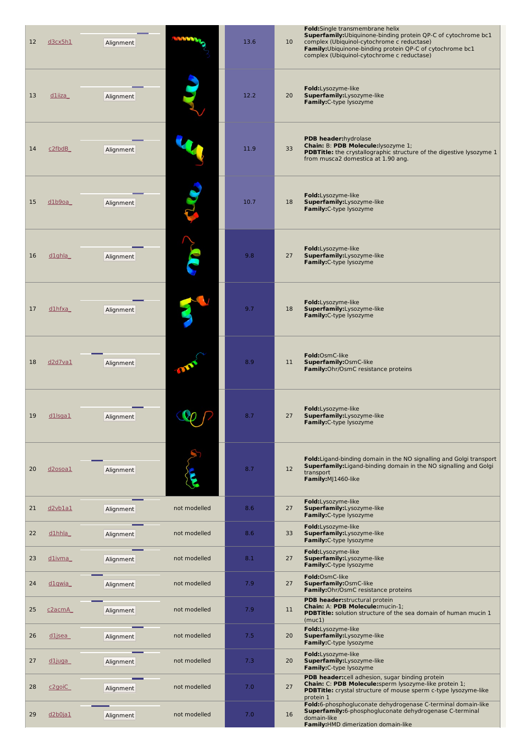| 12 | d3cx5h1              | Alignment |              | 13.6 | Fold:Single transmembrane helix<br>Superfamily: Ubiquinone-binding protein QP-C of cytochrome bc1<br>complex (Ubiquinol-cytochrome c reductase)<br>10 <sup>°</sup><br>Family: Ubiquinone-binding protein QP-C of cytochrome bc1<br>complex (Ubiquinol-cytochrome c reductase) |
|----|----------------------|-----------|--------------|------|-------------------------------------------------------------------------------------------------------------------------------------------------------------------------------------------------------------------------------------------------------------------------------|
| 13 | dliiza               | Alignment |              | 12.2 | Fold:Lysozyme-like<br>Superfamily:Lysozyme-like<br>20<br>Family: C-type lysozyme                                                                                                                                                                                              |
| 14 | c2fbdB               | Alignment |              | 11.9 | PDB header: hydrolase<br>Chain: B: PDB Molecule: lysozyme 1;<br>33<br><b>PDBTitle:</b> the crystallographic structure of the digestive lysozyme 1<br>from musca2 domestica at 1.90 ang.                                                                                       |
| 15 | d1b9oa               | Alignment |              | 10.7 | Fold:Lysozyme-like<br>18<br>Superfamily:Lysozyme-like<br>Family: C-type lysozyme                                                                                                                                                                                              |
| 16 | dlghla               | Alignment |              | 9.8  | Fold:Lysozyme-like<br>27<br>Superfamily:Lysozyme-like<br>Family: C-type lysozyme                                                                                                                                                                                              |
| 17 | $d1$ hfxa            | Alignment |              | 9.7  | Fold:Lysozyme-like<br>Superfamily:Lysozyme-like<br>18<br>Family: C-type lysozyme                                                                                                                                                                                              |
| 18 | d2d7va1              | Alignment |              | 8.9  | Fold:OsmC-like<br>Superfamily:OsmC-like<br>11<br>Family:Ohr/OsmC resistance proteins                                                                                                                                                                                          |
| 19 | $dl$ sgal            | Alignment |              | 8.7  | Fold:Lysozyme-like<br>27<br>Superfamily:Lysozyme-like<br>Family:C-type lysozyme                                                                                                                                                                                               |
| 20 | d <sub>2</sub> osoa1 | Alignment |              | 8.7  | Fold: Ligand-binding domain in the NO signalling and Golgi transport<br><b>Superfamily:</b> Ligand-binding domain in the NO signalling and Golgi<br>12<br>transport<br>Family:MJ1460-like                                                                                     |
| 21 | $d2$ vblal           | Alignment | not modelled | 8.6  | Fold:Lysozyme-like<br>27<br>Superfamily:Lysozyme-like<br>Family: C-type lysozyme                                                                                                                                                                                              |
| 22 | $d1$ hhla            | Alignment | not modelled | 8.6  | Fold:Lysozyme-like<br>33<br>Superfamily:Lysozyme-like<br>Family: C-type lysozyme                                                                                                                                                                                              |
| 23 | d1ivma               | Alignment | not modelled | 8.1  | Fold:Lysozyme-like<br>27<br>Superfamily:Lysozyme-like<br>Family: C-type lysozyme                                                                                                                                                                                              |
| 24 | d1qwia               | Alignment | not modelled | 7.9  | Fold:OsmC-like<br>Superfamily: OsmC-like<br>27<br>Family:Ohr/OsmC resistance proteins<br>PDB header: structural protein                                                                                                                                                       |
| 25 | c <sub>2acmA</sub>   | Alignment | not modelled | 7.9  | Chain: A: PDB Molecule: mucin-1;<br>11<br><b>PDBTitle:</b> solution structure of the sea domain of human mucin 1<br>(muc1)                                                                                                                                                    |
| 26 | d <sub>1</sub> jsea  | Alignment | not modelled | 7.5  | Fold:Lysozyme-like<br>20<br>Superfamily:Lysozyme-like<br>Family: C-type lysozyme                                                                                                                                                                                              |
| 27 | d1juga               | Alignment | not modelled | 7.3  | Fold:Lysozyme-like<br>Superfamily:Lysozyme-like<br>20<br>Family:C-type lysozyme                                                                                                                                                                                               |
| 28 | c <sub>2</sub> goiC  | Alignment | not modelled | 7.0  | PDB header:cell adhesion, sugar binding protein<br>Chain: C: PDB Molecule:sperm lysozyme-like protein 1;<br>27<br>PDBTitle: crystal structure of mouse sperm c-type lysozyme-like<br>protein 1                                                                                |
| 29 | d2b0ja1              | Alignment | not modelled | 7.0  | Fold:6-phosphogluconate dehydrogenase C-terminal domain-like<br>Superfamily:6-phosphogluconate dehydrogenase C-terminal<br>16<br>domain-like<br>Family: HMD dimerization domain-like                                                                                          |